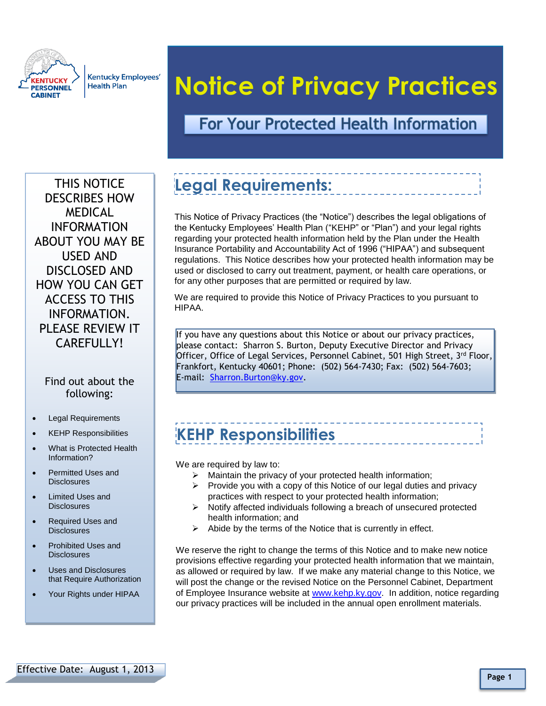

**Kentucky Employees' Health Plan** 

# **Notice of Privacy Practices**

#### **For Your Protected Health Information**

THIS NOTICE DESCRIBES HOW MEDICAL INFORMATION ABOUT YOU MAY BE USED AND DISCLOSED AND HOW YOU CAN GET ACCESS TO THIS INFORMATION. PLEASE REVIEW IT CAREFULLY!

#### Find out about the following:

- Legal Requirements
- KEHP Responsibilities
- What is Protected Health Information?
- Permitted Uses and **Disclosures**
- Limited Uses and **Disclosures**
- *Caption describing picture or graphic.* Disclosures • Required Uses and
- Prohibited Uses and **Disclosures**
- Uses and Disclosures that Require Authorization
- Your Rights under HIPAA

# **Legal Requirements:**

This Notice of Privacy Practices (the "Notice") describes the legal obligations of the Kentucky Employees' Health Plan ("KEHP" or "Plan") and your legal rights regarding your protected health information held by the Plan under the Health Insurance Portability and Accountability Act of 1996 ("HIPAA") and subsequent regulations. This Notice describes how your protected health information may be used or disclosed to carry out treatment, payment, or health care operations, or for any other purposes that are permitted or required by law.

We are required to provide this Notice of Privacy Practices to you pursuant to HIPAA.

If you have any questions about this Notice or about our privacy practices, please contact: Sharron S. Burton, Deputy Executive Director and Privacy Officer, Office of Legal Services, Personnel Cabinet, 501 High Street, 3<sup>rd</sup> Floor, Frankfort, Kentucky 40601; Phone: (502) 564-7430; Fax: (502) 564-7603; E-mail: [Sharron.Burton@ky.gov.](mailto:Sharron.Burton@ky.gov)

### **KEHP Responsibilities**

We are required by law to:

- Maintain the privacy of your protected health information;
- $\triangleright$  Provide you with a copy of this Notice of our legal duties and privacy practices with respect to your protected health information;
- $\triangleright$  Notify affected individuals following a breach of unsecured protected health information; and
- $\triangleright$  Abide by the terms of the Notice that is currently in effect.

We reserve the right to change the terms of this Notice and to make new notice provisions effective regarding your protected health information that we maintain, as allowed or required by law. If we make any material change to this Notice, we will post the change or the revised Notice on the Personnel Cabinet, Department of Employee Insurance website at [www.kehp.ky.gov.](http://www.kehp.ky.gov/) In addition, notice regarding our privacy practices will be included in the annual open enrollment materials.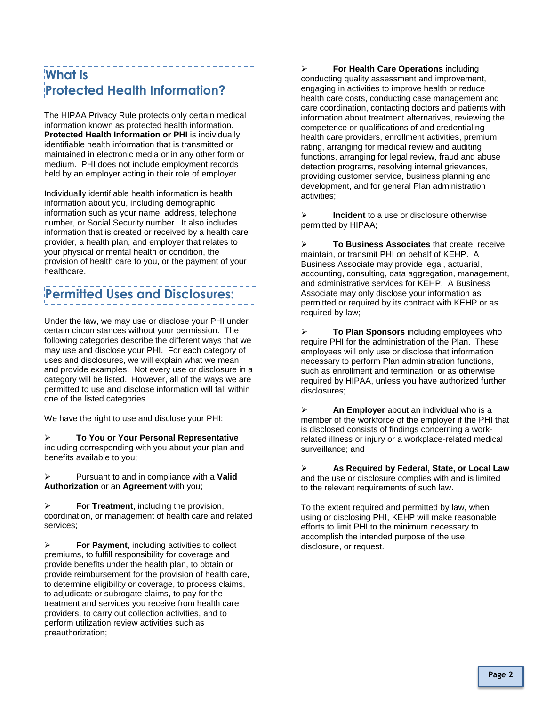#### **What is Protected Health Information?**

The HIPAA Privacy Rule protects only certain medical information known as protected health information. **Protected Health Information or PHI is individually** identifiable health information that is transmitted or maintained in electronic media or in any other form or medium. PHI does not include employment records held by an employer acting in their role of employer.

Individually identifiable health information is health information about you, including demographic information such as your name, address, telephone number, or Social Security number. It also includes information that is created or received by a health care provider, a health plan, and employer that relates to your physical or mental health or condition, the provision of health care to you, or the payment of your healthcare.

#### **Permitted Uses and Disclosures:**

Under the law, we may use or disclose your PHI under certain circumstances without your permission. The following categories describe the different ways that we may use and disclose your PHI. For each category of uses and disclosures, we will explain what we mean and provide examples. Not every use or disclosure in a category will be listed. However, all of the ways we are permitted to use and disclose information will fall within one of the listed categories.

We have the right to use and disclose your PHI:

 **To You or Your Personal Representative** including corresponding with you about your plan and benefits available to you;

 Pursuant to and in compliance with a **Valid Authorization** or an **Agreement** with you;

**For Treatment**, including the provision, coordination, or management of health care and related services;

**For Payment**, including activities to collect premiums, to fulfill responsibility for coverage and provide benefits under the health plan, to obtain or provide reimbursement for the provision of health care, to determine eligibility or coverage, to process claims, to adjudicate or subrogate claims, to pay for the treatment and services you receive from health care providers, to carry out collection activities, and to perform utilization review activities such as preauthorization;

 **For Health Care Operations** including conducting quality assessment and improvement, engaging in activities to improve health or reduce health care costs, conducting case management and care coordination, contacting doctors and patients with information about treatment alternatives, reviewing the competence or qualifications of and credentialing health care providers, enrollment activities, premium rating, arranging for medical review and auditing functions, arranging for legal review, fraud and abuse detection programs, resolving internal grievances, providing customer service, business planning and development, and for general Plan administration activities;

 **Incident** to a use or disclosure otherwise permitted by HIPAA;

 **To Business Associates** that create, receive, maintain, or transmit PHI on behalf of KEHP. A Business Associate may provide legal, actuarial, accounting, consulting, data aggregation, management, and administrative services for KEHP. A Business Associate may only disclose your information as permitted or required by its contract with KEHP or as required by law;

 **To Plan Sponsors** including employees who require PHI for the administration of the Plan. These employees will only use or disclose that information necessary to perform Plan administration functions, such as enrollment and termination, or as otherwise required by HIPAA, unless you have authorized further disclosures;

 **An Employer** about an individual who is a member of the workforce of the employer if the PHI that is disclosed consists of findings concerning a workrelated illness or injury or a workplace-related medical surveillance; and

 **As Required by Federal, State, or Local Law**  and the use or disclosure complies with and is limited to the relevant requirements of such law.

To the extent required and permitted by law, when using or disclosing PHI, KEHP will make reasonable efforts to limit PHI to the minimum necessary to accomplish the intended purpose of the use, disclosure, or request.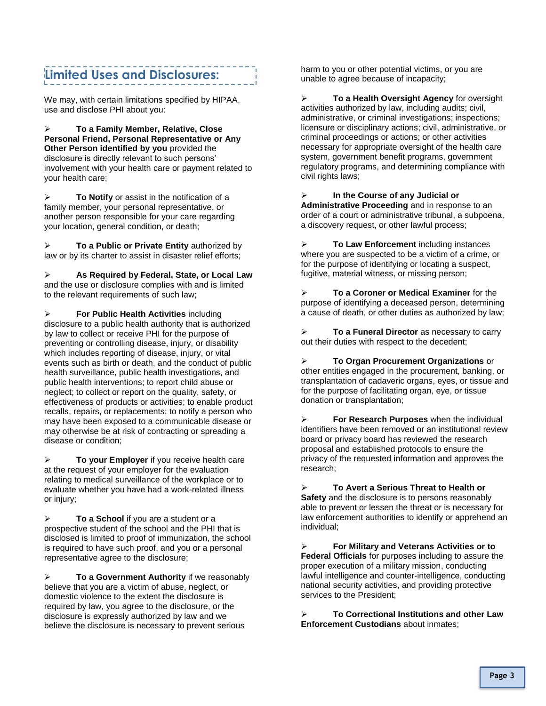#### **Limited Uses and Disclosures:**

We may, with certain limitations specified by HIPAA, use and disclose PHI about you:

 **To a Family Member, Relative, Close Personal Friend, Personal Representative or Any Other Person identified by you** provided the disclosure is directly relevant to such persons' involvement with your health care or payment related to your health care;

 **To Notify** or assist in the notification of a family member, your personal representative, or another person responsible for your care regarding your location, general condition, or death;

 **To a Public or Private Entity** authorized by law or by its charter to assist in disaster relief efforts;

 **As Required by Federal, State, or Local Law**  and the use or disclosure complies with and is limited to the relevant requirements of such law;

 **For Public Health Activities** including disclosure to a public health authority that is authorized by law to collect or receive PHI for the purpose of preventing or controlling disease, injury, or disability which includes reporting of disease, injury, or vital events such as birth or death, and the conduct of public health surveillance, public health investigations, and public health interventions; to report child abuse or neglect; to collect or report on the quality, safety, or effectiveness of products or activities; to enable product recalls, repairs, or replacements; to notify a person who may have been exposed to a communicable disease or may otherwise be at risk of contracting or spreading a disease or condition;

 **To your Employer** if you receive health care at the request of your employer for the evaluation relating to medical surveillance of the workplace or to evaluate whether you have had a work-related illness or injury;

 **To a School** if you are a student or a prospective student of the school and the PHI that is disclosed is limited to proof of immunization, the school is required to have such proof, and you or a personal representative agree to the disclosure;

**To a Government Authority** if we reasonably believe that you are a victim of abuse, neglect, or domestic violence to the extent the disclosure is required by law, you agree to the disclosure, or the disclosure is expressly authorized by law and we believe the disclosure is necessary to prevent serious

harm to you or other potential victims, or you are unable to agree because of incapacity;

 **To a Health Oversight Agency** for oversight activities authorized by law, including audits; civil, administrative, or criminal investigations; inspections; licensure or disciplinary actions; civil, administrative, or criminal proceedings or actions; or other activities necessary for appropriate oversight of the health care system, government benefit programs, government regulatory programs, and determining compliance with civil rights laws;

 **In the Course of any Judicial or Administrative Proceeding** and in response to an order of a court or administrative tribunal, a subpoena, a discovery request, or other lawful process;

 **To Law Enforcement** including instances where you are suspected to be a victim of a crime, or for the purpose of identifying or locating a suspect, fugitive, material witness, or missing person;

 **To a Coroner or Medical Examiner** for the purpose of identifying a deceased person, determining a cause of death, or other duties as authorized by law;

 **To a Funeral Director** as necessary to carry out their duties with respect to the decedent;

 **To Organ Procurement Organizations** or other entities engaged in the procurement, banking, or transplantation of cadaveric organs, eyes, or tissue and for the purpose of facilitating organ, eye, or tissue donation or transplantation;

 **For Research Purposes** when the individual identifiers have been removed or an institutional review board or privacy board has reviewed the research proposal and established protocols to ensure the privacy of the requested information and approves the research;

 **To Avert a Serious Threat to Health or Safety** and the disclosure is to persons reasonably able to prevent or lessen the threat or is necessary for law enforcement authorities to identify or apprehend an individual;

 **For Military and Veterans Activities or to Federal Officials** for purposes including to assure the proper execution of a military mission, conducting lawful intelligence and counter-intelligence, conducting national security activities, and providing protective services to the President;

 **To Correctional Institutions and other Law Enforcement Custodians** about inmates;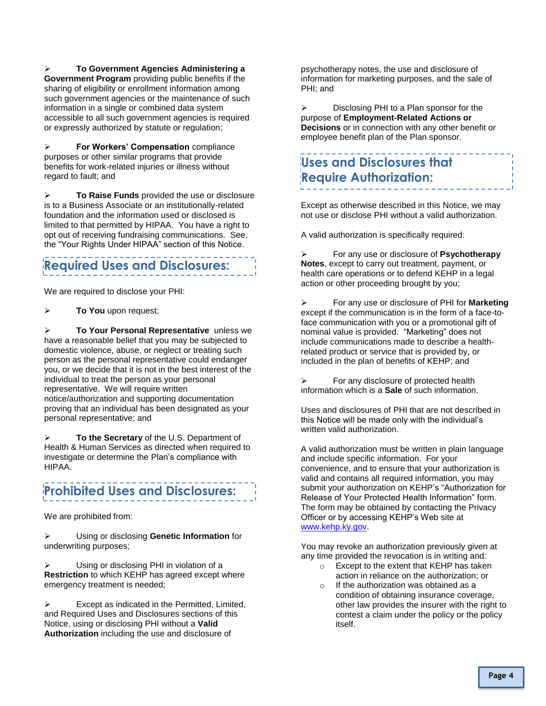**To Government Agencies Administering a Government Program** providing public benefits if the sharing of eligibility or enrollment information among such government agencies or the maintenance of such information in a single or combined data system accessible to all such government agencies is required or expressly authorized by statute or regulation;

 **For Workers' Compensation** compliance purposes or other similar programs that provide benefits for work-related injuries or illness without regard to fault; and

 **To Raise Funds** provided the use or disclosure is to a Business Associate or an institutionally-related foundation and the information used or disclosed is limited to that permitted by HIPAA. You have a right to opt out of receiving fundraising communications. See, the "Your Rights Under HIPAA" section of this Notice.

### **Required Uses and Disclosures:**

We are required to disclose your PHI:

**To You** upon request;

 **To Your Personal Representative** unless we have a reasonable belief that you may be subjected to domestic violence, abuse, or neglect or treating such person as the personal representative could endanger you, or we decide that it is not in the best interest of the individual to treat the person as your personal representative. We will require written notice/authorization and supporting documentation proving that an individual has been designated as your personal representative; and

 **To the Secretary** of the U.S. Department of Health & Human Services as directed when required to investigate or determine the Plan's compliance with HIPAA.

#### **Prohibited Uses and Disclosures:**

We are prohibited from:

 Using or disclosing **Genetic Information** for underwriting purposes;

 Using or disclosing PHI in violation of a **Restriction** to which KEHP has agreed except where emergency treatment is needed;

 $\triangleright$  Except as indicated in the Permitted, Limited, and Required Uses and Disclosures sections of this Notice, using or disclosing PHI without a **Valid Authorization** including the use and disclosure of

psychotherapy notes, the use and disclosure of information for marketing purposes, and the sale of PHI; and

 $\triangleright$  Disclosing PHI to a Plan sponsor for the purpose of **Employment-Related Actions or Decisions** or in connection with any other benefit or employee benefit plan of the Plan sponsor.

#### **Uses and Disclosures that Require Authorization:**

Except as otherwise described in this Notice, we may not use or disclose PHI without a valid authorization.

A valid authorization is specifically required:

 For any use or disclosure of **Psychotherapy Notes**, except to carry out treatment, payment, or health care operations or to defend KEHP in a legal action or other proceeding brought by you;

 For any use or disclosure of PHI for **Marketing** except if the communication is in the form of a face-toface communication with you or a promotional gift of nominal value is provided. "Marketing" does not include communications made to describe a healthrelated product or service that is provided by, or included in the plan of benefits of KEHP; and

 $\triangleright$  For any disclosure of protected health information which is a **Sale** of such information.

Uses and disclosures of PHI that are not described in this Notice will be made only with the individual's written valid authorization.

A valid authorization must be written in plain language and include specific information. For your convenience, and to ensure that your authorization is valid and contains all required information, you may submit your authorization on KEHP's "Authorization for Release of Your Protected Health Information" form. The form may be obtained by contacting the Privacy Officer or by accessing KEHP's Web site at [www.kehp.ky.gov.](http://www.kehp.ky.gov/)

You may revoke an authorization previously given at any time provided the revocation is in writing and:

- o Except to the extent that KEHP has taken action in reliance on the authorization; or
- o If the authorization was obtained as a condition of obtaining insurance coverage, other law provides the insurer with the right to contest a claim under the policy or the policy itself.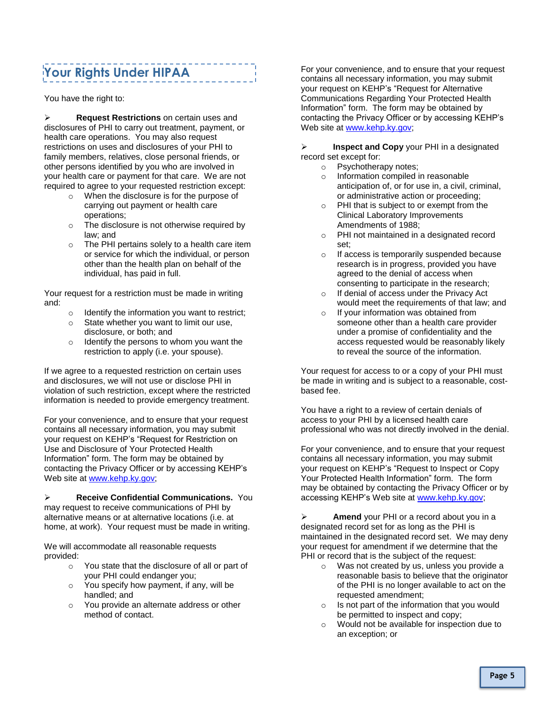### **Your Rights Under HIPAA**

You have the right to:

 **Request Restrictions** on certain uses and disclosures of PHI to carry out treatment, payment, or health care operations. You may also request restrictions on uses and disclosures of your PHI to family members, relatives, close personal friends, or other persons identified by you who are involved in your health care or payment for that care. We are not required to agree to your requested restriction except:

- o When the disclosure is for the purpose of carrying out payment or health care operations;
- o The disclosure is not otherwise required by law; and
- o The PHI pertains solely to a health care item or service for which the individual, or person other than the health plan on behalf of the individual, has paid in full.

Your request for a restriction must be made in writing and:

- $\circ$  Identify the information you want to restrict;
- o State whether you want to limit our use, disclosure, or both; and
- o Identify the persons to whom you want the restriction to apply (i.e. your spouse).

If we agree to a requested restriction on certain uses and disclosures, we will not use or disclose PHI in violation of such restriction, except where the restricted information is needed to provide emergency treatment.

For your convenience, and to ensure that your request contains all necessary information, you may submit your request on KEHP's "Request for Restriction on Use and Disclosure of Your Protected Health Information" form. The form may be obtained by contacting the Privacy Officer or by accessing KEHP's Web site at [www.kehp.ky.gov;](http://www.kehp.ky.gov/)

 **Receive Confidential Communications.** You may request to receive communications of PHI by alternative means or at alternative locations (i.e. at home, at work). Your request must be made in writing.

We will accommodate all reasonable requests provided:

- o You state that the disclosure of all or part of your PHI could endanger you;
- o You specify how payment, if any, will be handled; and
- o You provide an alternate address or other method of contact.

For your convenience, and to ensure that your request contains all necessary information, you may submit your request on KEHP's "Request for Alternative Communications Regarding Your Protected Health Information" form. The form may be obtained by contacting the Privacy Officer or by accessing KEHP's Web site at [www.kehp.ky.gov;](http://www.kehp.ky.gov/)

**Inspect and Copy** your PHI in a designated record set except for:

- o Psychotherapy notes;
- o Information compiled in reasonable anticipation of, or for use in, a civil, criminal, or administrative action or proceeding;
- o PHI that is subject to or exempt from the Clinical Laboratory Improvements Amendments of 1988;
- o PHI not maintained in a designated record set;
- o If access is temporarily suspended because research is in progress, provided you have agreed to the denial of access when consenting to participate in the research;
- o If denial of access under the Privacy Act would meet the requirements of that law; and
- o If your information was obtained from someone other than a health care provider under a promise of confidentiality and the access requested would be reasonably likely to reveal the source of the information.

Your request for access to or a copy of your PHI must be made in writing and is subject to a reasonable, costbased fee.

You have a right to a review of certain denials of access to your PHI by a licensed health care professional who was not directly involved in the denial.

For your convenience, and to ensure that your request contains all necessary information, you may submit your request on KEHP's "Request to Inspect or Copy Your Protected Health Information" form. The form may be obtained by contacting the Privacy Officer or by accessing KEHP's Web site at [www.kehp.ky.gov;](http://www.kehp.ky.gov/)

**Amend** your PHI or a record about you in a designated record set for as long as the PHI is maintained in the designated record set. We may deny your request for amendment if we determine that the PHI or record that is the subject of the request:

- o Was not created by us, unless you provide a reasonable basis to believe that the originator of the PHI is no longer available to act on the requested amendment;
- $\circ$  Is not part of the information that you would be permitted to inspect and copy;
- o Would not be available for inspection due to an exception; or